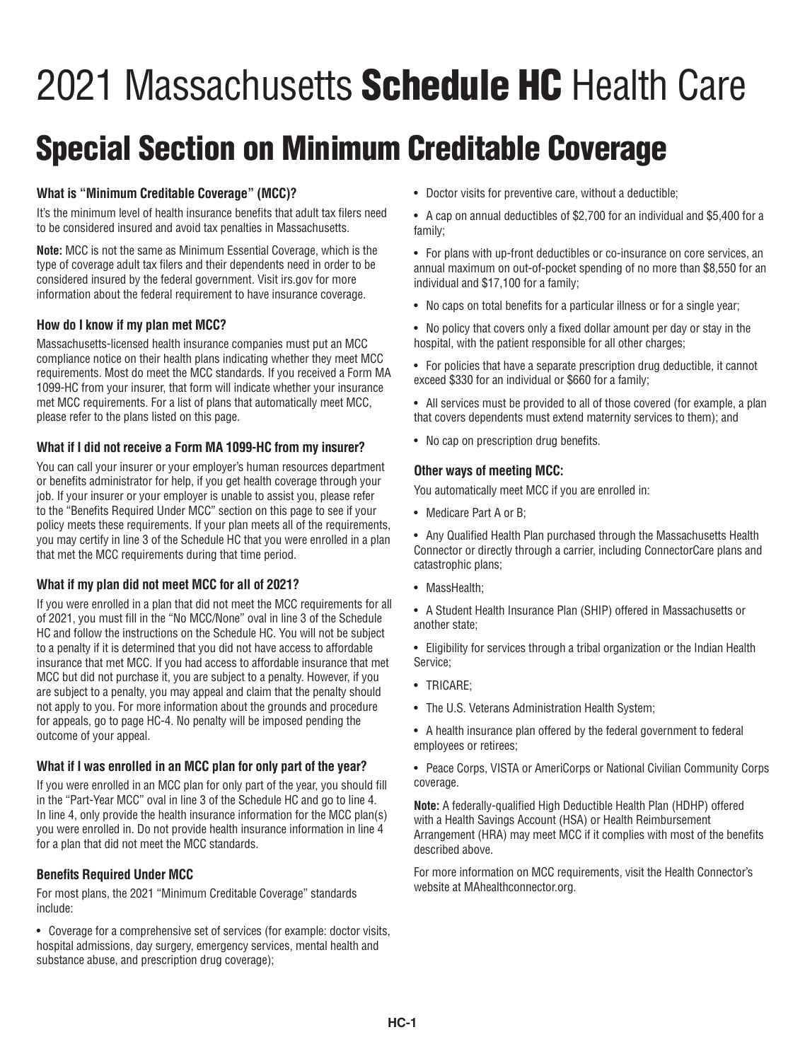# 2021 Massachusetts **Schedule HC** Health Care

## Special Section on Minimum Creditable Coverage

#### **What is "Minimum Creditable Coverage" (MCC)?**

It's the minimum level of health insurance benefits that adult tax filers need to be considered insured and avoid tax penalties in Massachusetts.

**Note:** MCC is not the same as Minimum Essential Coverage, which is the type of coverage adult tax filers and their dependents need in order to be considered insured by the federal government. Visit irs.gov for more information about the federal requirement to have insurance coverage.

#### **How do I know if my plan met MCC?**

Massachusetts-licensed health insurance companies must put an MCC compliance notice on their health plans indicating whether they meet MCC requirements. Most do meet the MCC standards. If you received a Form MA 1099-HC from your insurer, that form will indicate whether your insurance met MCC requirements. For a list of plans that automatically meet MCC, please refer to the plans listed on this page.

#### **What if I did not receive a Form MA 1099-HC from my insurer?**

You can call your insurer or your employer's human resources department or benefits administrator for help, if you get health coverage through your job. If your insurer or your employer is unable to assist you, please refer to the "Benefits Required Under MCC" section on this page to see if your policy meets these requirements. If your plan meets all of the requirements, you may certify in line 3 of the Schedule HC that you were enrolled in a plan that met the MCC requirements during that time period.

#### **What if my plan did not meet MCC for all of 2021?**

If you were enrolled in a plan that did not meet the MCC requirements for all of 2021, you must fill in the "No MCC/None" oval in line 3 of the Schedule HC and follow the instructions on the Schedule HC. You will not be subject to a penalty if it is determined that you did not have access to affordable insurance that met MCC. If you had access to affordable insurance that met MCC but did not purchase it, you are subject to a penalty. However, if you are subject to a penalty, you may appeal and claim that the penalty should not apply to you. For more information about the grounds and procedure for appeals, go to page HC-4. No penalty will be imposed pending the outcome of your appeal.

#### **What if I was enrolled in an MCC plan for only part of the year?**

If you were enrolled in an MCC plan for only part of the year, you should fill in the "Part-Year MCC" oval in line 3 of the Schedule HC and go to line 4. In line 4, only provide the health insurance information for the MCC plan(s) you were enrolled in. Do not provide health insurance information in line 4 for a plan that did not meet the MCC standards.

#### **Benefits Required Under MCC**

For most plans, the 2021 "Minimum Creditable Coverage" standards include:

• Coverage for a comprehensive set of services (for example: doctor visits, hospital admissions, day surgery, emergency services, mental health and substance abuse, and prescription drug coverage);

• Doctor visits for preventive care, without a deductible;

• A cap on annual deductibles of \$2,700 for an individual and \$5,400 for a family;

• For plans with up-front deductibles or co-insurance on core services, an annual maximum on out-of-pocket spending of no more than \$8,550 for an individual and \$17,100 for a family;

• No caps on total benefits for a particular illness or for a single year;

• No policy that covers only a fixed dollar amount per day or stay in the hospital, with the patient responsible for all other charges;

• For policies that have a separate prescription drug deductible, it cannot exceed \$330 for an individual or \$660 for a family;

• All services must be provided to all of those covered (for example, a plan that covers dependents must extend maternity services to them); and

• No cap on prescription drug benefits.

#### **Other ways of meeting MCC:**

You automatically meet MCC if you are enrolled in:

• Medicare Part A or B:

• Any Qualified Health Plan purchased through the Massachusetts Health Connector or directly through a carrier, including ConnectorCare plans and catastrophic plans;

• MassHealth;

• A Student Health Insurance Plan (SHIP) offered in Massachusetts or another state;

• Eligibility for services through a tribal organization or the Indian Health Service;

- TRICARE;
- The U.S. Veterans Administration Health System;
- A health insurance plan offered by the federal government to federal employees or retirees;

• Peace Corps, VISTA or AmeriCorps or National Civilian Community Corps coverage.

**Note:** A federally-qualified High Deductible Health Plan (HDHP) offered with a Health Savings Account (HSA) or Health Reimbursement Arrangement (HRA) may meet MCC if it complies with most of the benefits described above.

For more information on MCC requirements, visit the Health Connector's website at MAhealthconnector.org.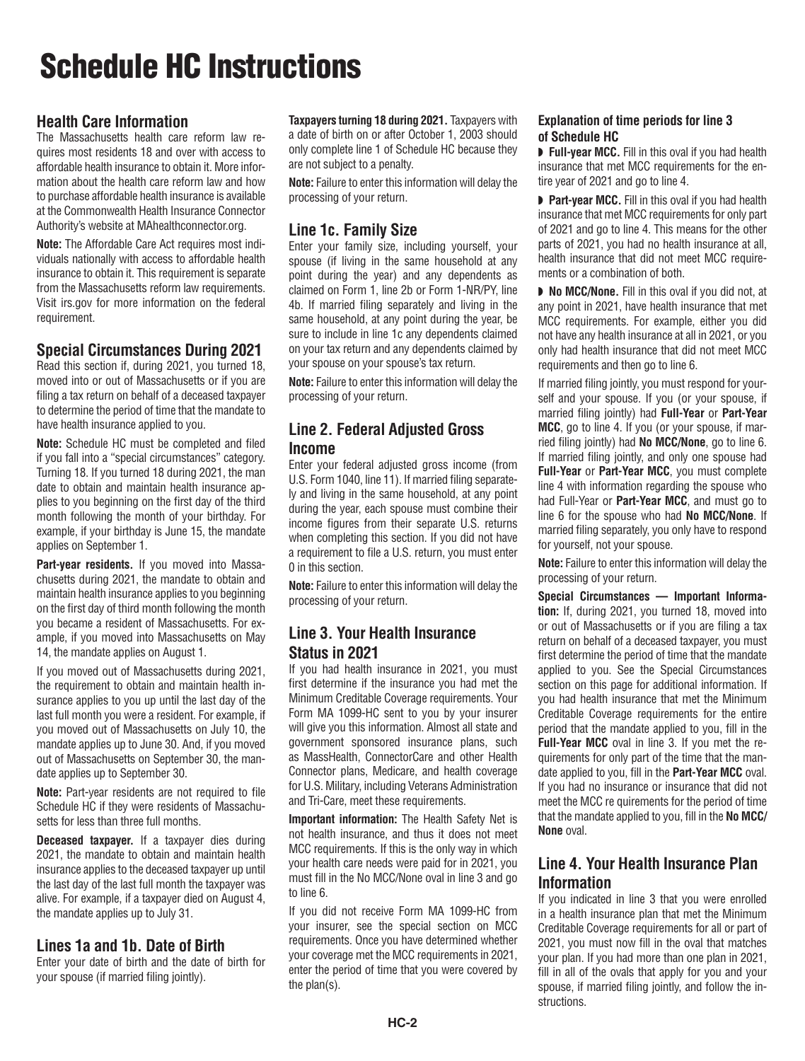## Schedule HC Instructions

## **Health Care Information**

The Massachusetts health care reform law requires most residents 18 and over with access to affordable health insurance to obtain it. More information about the health care reform law and how to purchase affordable health insurance is available at the Commonwealth Health Insurance Connector Authority's website at MAhealthconnector.org.

**Note:** The Affordable Care Act requires most individuals nationally with access to affordable health insurance to obtain it. This requirement is separate from the Massachusetts reform law requirements. Visit irs.gov for more information on the federal requirement.

#### **Special Circumstances During 2021**

Read this section if, during 2021, you turned 18, moved into or out of Massachusetts or if you are filing a tax return on behalf of a deceased taxpayer to determine the period of time that the mandate to have health insurance applied to you.

**Note:** Schedule HC must be completed and filed if you fall into a "special circumstances" category. Turning 18. If you turned 18 during 2021, the man date to obtain and maintain health insurance applies to you beginning on the first day of the third month following the month of your birthday. For example, if your birthday is June 15, the mandate applies on September 1.

**Part-year residents.** If you moved into Massachusetts during 2021, the mandate to obtain and maintain health insurance applies to you beginning on the first day of third month following the month you became a resident of Massachusetts. For example, if you moved into Massachusetts on May 14, the mandate applies on August 1.

If you moved out of Massachusetts during 2021, the requirement to obtain and maintain health insurance applies to you up until the last day of the last full month you were a resident. For example, if you moved out of Massachusetts on July 10, the mandate applies up to June 30. And, if you moved out of Massachusetts on September 30, the mandate applies up to September 30.

**Note:** Part-year residents are not required to file Schedule HC if they were residents of Massachusetts for less than three full months.

**Deceased taxpayer.** If a taxpayer dies during 2021, the mandate to obtain and maintain health insurance applies to the deceased taxpayer up until the last day of the last full month the taxpayer was alive. For example, if a taxpayer died on August 4, the mandate applies up to July 31.

#### **Lines 1a and 1b. Date of Birth**

Enter your date of birth and the date of birth for your spouse (if married filing jointly).

**Taxpayers turning 18 during 2021.** Taxpayers with a date of birth on or after October 1, 2003 should only complete line 1 of Schedule HC because they are not subject to a penalty.

**Note:** Failure to enter this information will delay the processing of your return.

## **Line 1c. Family Size**

Enter your family size, including yourself, your spouse (if living in the same household at any point during the year) and any dependents as claimed on Form 1, line 2b or Form 1-NR/PY, line 4b. If married filing separately and living in the same household, at any point during the year, be sure to include in line 1c any dependents claimed on your tax return and any dependents claimed by your spouse on your spouse's tax return.

**Note:** Failure to enter this information will delay the processing of your return.

## **Line 2. Federal Adjusted Gross Income**

Enter your federal adjusted gross income (from U.S. Form 1040, line 11). If married filing separately and living in the same household, at any point during the year, each spouse must combine their income figures from their separate U.S. returns when completing this section. If you did not have a requirement to file a U.S. return, you must enter 0 in this section.

**Note:** Failure to enter this information will delay the processing of your return.

## **Line 3. Your Health Insurance Status in 2021**

If you had health insurance in 2021, you must first determine if the insurance you had met the Minimum Creditable Coverage requirements. Your Form MA 1099-HC sent to you by your insurer will give you this information. Almost all state and government sponsored insurance plans, such as MassHealth, ConnectorCare and other Health Connector plans, Medicare, and health coverage for U.S. Military, including Veterans Administration and Tri-Care, meet these requirements.

**Important information:** The Health Safety Net is not health insurance, and thus it does not meet MCC requirements. If this is the only way in which your health care needs were paid for in 2021, you must fill in the No MCC/None oval in line 3 and go to line 6.

If you did not receive Form MA 1099-HC from your insurer, see the special section on MCC requirements. Once you have determined whether your coverage met the MCC requirements in 2021, enter the period of time that you were covered by the plan(s).

#### **Explanation of time periods for line 3 of Schedule HC**

■ **Full-year MCC.** Fill in this oval if you had health insurance that met MCC requirements for the entire year of 2021 and go to line 4.

◗ **Part-year MCC.** Fill in this oval if you had health insurance that met MCC requirements for only part of 2021 and go to line 4. This means for the other parts of 2021, you had no health insurance at all, health insurance that did not meet MCC requirements or a combination of both.

◗ **No MCC/None.** Fill in this oval if you did not, at any point in 2021, have health insurance that met MCC requirements. For example, either you did not have any health insurance at all in 2021, or you only had health insurance that did not meet MCC requirements and then go to line 6.

If married filing jointly, you must respond for yourself and your spouse. If you (or your spouse, if married filing jointly) had **Full-Year** or **Part-Year MCC**, go to line 4. If you (or your spouse, if married filing jointly) had **No MCC/None**, go to line 6. If married filing jointly, and only one spouse had **Full-Year** or **Part-Year MCC**, you must complete line 4 with information regarding the spouse who had Full-Year or **Part-Year MCC**, and must go to line 6 for the spouse who had **No MCC/None**. If married filing separately, you only have to respond for yourself, not your spouse.

**Note:** Failure to enter this information will delay the processing of your return.

**Special Circumstances — Important Information:** If, during 2021, you turned 18, moved into or out of Massachusetts or if you are filing a tax return on behalf of a deceased taxpayer, you must first determine the period of time that the mandate applied to you. See the Special Circumstances section on this page for additional information. If you had health insurance that met the Minimum Creditable Coverage requirements for the entire period that the mandate applied to you, fill in the **Full-Year MCC** oval in line 3. If you met the requirements for only part of the time that the mandate applied to you, fill in the **Part-Year MCC** oval. If you had no insurance or insurance that did not meet the MCC re quirements for the period of time that the mandate applied to you, fill in the **No MCC/ None** oval.

## **Line 4. Your Health Insurance Plan Information**

If you indicated in line 3 that you were enrolled in a health insurance plan that met the Minimum Creditable Coverage requirements for all or part of 2021, you must now fill in the oval that matches your plan. If you had more than one plan in 2021, fill in all of the ovals that apply for you and your spouse, if married filing jointly, and follow the instructions.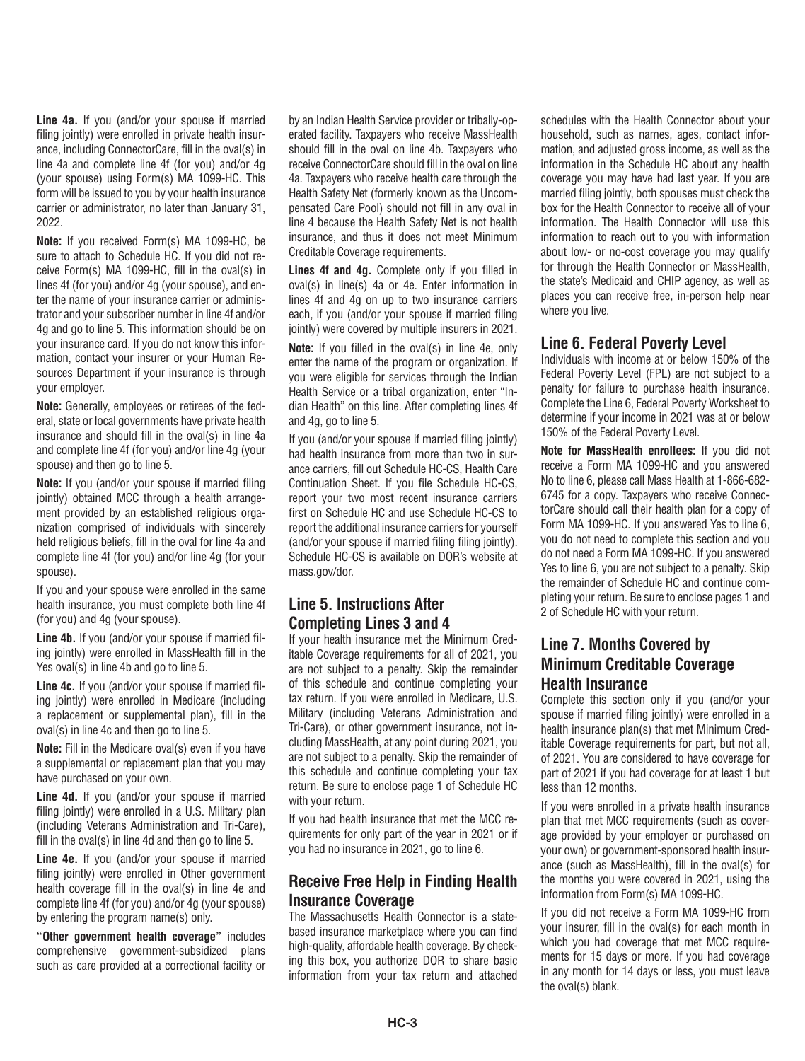**Line 4a.** If you (and/or your spouse if married filing jointly) were enrolled in private health insurance, including ConnectorCare, fill in the oval(s) in line 4a and complete line 4f (for you) and/or 4g (your spouse) using Form(s) MA 1099-HC. This form will be issued to you by your health insurance carrier or administrator, no later than January 31, 2022.

**Note:** If you received Form(s) MA 1099-HC, be sure to attach to Schedule HC. If you did not receive Form(s) MA 1099-HC, fill in the oval(s) in lines 4f (for you) and/or 4g (your spouse), and enter the name of your insurance carrier or administrator and your subscriber number in line 4f and/or 4g and go to line 5. This information should be on your insurance card. If you do not know this information, contact your insurer or your Human Resources Department if your insurance is through your employer.

**Note:** Generally, employees or retirees of the federal, state or local governments have private health insurance and should fill in the oval(s) in line 4a and complete line 4f (for you) and/or line 4g (your spouse) and then go to line 5.

**Note:** If you (and/or your spouse if married filing jointly) obtained MCC through a health arrangement provided by an established religious organization comprised of individuals with sincerely held religious beliefs, fill in the oval for line 4a and complete line 4f (for you) and/or line 4g (for your spouse).

If you and your spouse were enrolled in the same health insurance, you must complete both line 4f (for you) and 4g (your spouse).

**Line 4b.** If you (and/or your spouse if married filing jointly) were enrolled in MassHealth fill in the Yes oval(s) in line 4b and go to line 5.

**Line 4c.** If you (and/or your spouse if married filing jointly) were enrolled in Medicare (including a replacement or supplemental plan), fill in the oval(s) in line 4c and then go to line 5.

**Note:** Fill in the Medicare oval(s) even if you have a supplemental or replacement plan that you may have purchased on your own.

**Line 4d.** If you (and/or your spouse if married filing jointly) were enrolled in a U.S. Military plan (including Veterans Administration and Tri-Care), fill in the oval(s) in line 4d and then go to line 5.

**Line 4e.** If you (and/or your spouse if married filing jointly) were enrolled in Other government health coverage fill in the oval(s) in line 4e and complete line 4f (for you) and/or 4g (your spouse) by entering the program name(s) only.

**"Other government health coverage"** includes comprehensive government-subsidized plans such as care provided at a correctional facility or

by an Indian Health Service provider or tribally-operated facility. Taxpayers who receive MassHealth should fill in the oval on line 4b. Taxpayers who receive ConnectorCare should fill in the oval on line 4a. Taxpayers who receive health care through the Health Safety Net (formerly known as the Uncompensated Care Pool) should not fill in any oval in line 4 because the Health Safety Net is not health insurance, and thus it does not meet Minimum Creditable Coverage requirements.

**Lines 4f and 4g.** Complete only if you filled in oval(s) in line(s) 4a or 4e. Enter information in lines 4f and 4g on up to two insurance carriers each, if you (and/or your spouse if married filing jointly) were covered by multiple insurers in 2021.

**Note:** If you filled in the oval(s) in line 4e, only enter the name of the program or organization. If you were eligible for services through the Indian Health Service or a tribal organization, enter "Indian Health" on this line. After completing lines 4f and 4g, go to line 5.

If you (and/or your spouse if married filing jointly) had health insurance from more than two in surance carriers, fill out Schedule HC-CS, Health Care Continuation Sheet. If you file Schedule HC-CS, report your two most recent insurance carriers first on Schedule HC and use Schedule HC-CS to report the additional insurance carriers for yourself (and/or your spouse if married filing filing jointly). Schedule HC-CS is available on DOR's website at mass.gov/dor.

## **Line 5. Instructions After Completing Lines 3 and 4**

If your health insurance met the Minimum Creditable Coverage requirements for all of 2021, you are not subject to a penalty. Skip the remainder of this schedule and continue completing your tax return. If you were enrolled in Medicare, U.S. Military (including Veterans Administration and Tri-Care), or other government insurance, not including MassHealth, at any point during 2021, you are not subject to a penalty. Skip the remainder of this schedule and continue completing your tax return. Be sure to enclose page 1 of Schedule HC with your return.

If you had health insurance that met the MCC requirements for only part of the year in 2021 or if you had no insurance in 2021, go to line 6.

#### **Receive Free Help in Finding Health Insurance Coverage**

The Massachusetts Health Connector is a statebased insurance marketplace where you can find high-quality, affordable health coverage. By checking this box, you authorize DOR to share basic information from your tax return and attached schedules with the Health Connector about your household, such as names, ages, contact information, and adjusted gross income, as well as the information in the Schedule HC about any health coverage you may have had last year. If you are married filing jointly, both spouses must check the box for the Health Connector to receive all of your information. The Health Connector will use this information to reach out to you with information about low- or no-cost coverage you may qualify for through the Health Connector or MassHealth, the state's Medicaid and CHIP agency, as well as places you can receive free, in-person help near where you live.

#### **Line 6. Federal Poverty Level**

Individuals with income at or below 150% of the Federal Poverty Level (FPL) are not subject to a penalty for failure to purchase health insurance. Complete the Line 6, Federal Poverty Worksheet to determine if your income in 2021 was at or below 150% of the Federal Poverty Level.

**Note for MassHealth enrollees:** If you did not receive a Form MA 1099-HC and you answered No to line 6, please call Mass Health at 1-866-682- 6745 for a copy. Taxpayers who receive ConnectorCare should call their health plan for a copy of Form MA 1099-HC. If you answered Yes to line 6, you do not need to complete this section and you do not need a Form MA 1099-HC. If you answered Yes to line 6, you are not subject to a penalty. Skip the remainder of Schedule HC and continue completing your return. Be sure to enclose pages 1 and 2 of Schedule HC with your return.

## **Line 7. Months Covered by Minimum Creditable Coverage Health Insurance**

Complete this section only if you (and/or your spouse if married filing jointly) were enrolled in a health insurance plan(s) that met Minimum Creditable Coverage requirements for part, but not all, of 2021. You are considered to have coverage for part of 2021 if you had coverage for at least 1 but less than 12 months.

If you were enrolled in a private health insurance plan that met MCC requirements (such as coverage provided by your employer or purchased on your own) or government-sponsored health insurance (such as MassHealth), fill in the oval(s) for the months you were covered in 2021, using the information from Form(s) MA 1099-HC.

If you did not receive a Form MA 1099-HC from your insurer, fill in the oval(s) for each month in which you had coverage that met MCC requirements for 15 days or more. If you had coverage in any month for 14 days or less, you must leave the oval(s) blank.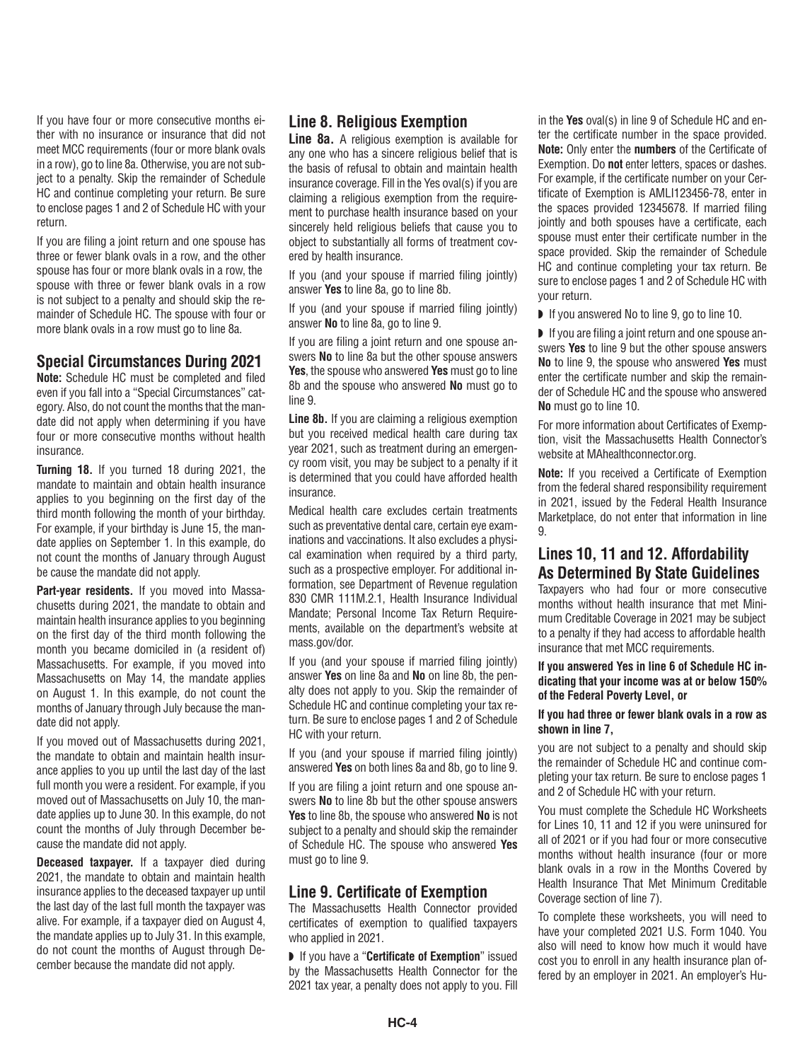If you have four or more consecutive months either with no insurance or insurance that did not meet MCC requirements (four or more blank ovals in a row), go to line 8a. Otherwise, you are not subject to a penalty. Skip the remainder of Schedule HC and continue completing your return. Be sure to enclose pages 1 and 2 of Schedule HC with your return.

If you are filing a joint return and one spouse has three or fewer blank ovals in a row, and the other spouse has four or more blank ovals in a row, the spouse with three or fewer blank ovals in a row is not subject to a penalty and should skip the remainder of Schedule HC. The spouse with four or more blank ovals in a row must go to line 8a.

#### **Special Circumstances During 2021**

**Note:** Schedule HC must be completed and filed even if you fall into a "Special Circumstances" category. Also, do not count the months that the mandate did not apply when determining if you have four or more consecutive months without health insurance.

**Turning 18.** If you turned 18 during 2021, the mandate to maintain and obtain health insurance applies to you beginning on the first day of the third month following the month of your birthday. For example, if your birthday is June 15, the mandate applies on September 1. In this example, do not count the months of January through August be cause the mandate did not apply.

**Part-year residents.** If you moved into Massachusetts during 2021, the mandate to obtain and maintain health insurance applies to you beginning on the first day of the third month following the month you became domiciled in (a resident of) Massachusetts. For example, if you moved into Massachusetts on May 14, the mandate applies on August 1. In this example, do not count the months of January through July because the mandate did not apply.

If you moved out of Massachusetts during 2021, the mandate to obtain and maintain health insurance applies to you up until the last day of the last full month you were a resident. For example, if you moved out of Massachusetts on July 10, the mandate applies up to June 30. In this example, do not count the months of July through December because the mandate did not apply.

**Deceased taxpayer.** If a taxpayer died during 2021, the mandate to obtain and maintain health insurance applies to the deceased taxpayer up until the last day of the last full month the taxpayer was alive. For example, if a taxpayer died on August 4, the mandate applies up to July 31. In this example, do not count the months of August through December because the mandate did not apply.

## **Line 8. Religious Exemption**

**Line 8a.** A religious exemption is available for any one who has a sincere religious belief that is the basis of refusal to obtain and maintain health insurance coverage. Fill in the Yes oval(s) if you are claiming a religious exemption from the requirement to purchase health insurance based on your sincerely held religious beliefs that cause you to object to substantially all forms of treatment covered by health insurance.

If you (and your spouse if married filing jointly) answer **Yes** to line 8a, go to line 8b.

If you (and your spouse if married filing jointly) answer **No** to line 8a, go to line 9.

If you are filing a joint return and one spouse answers **No** to line 8a but the other spouse answers **Yes**, the spouse who answered **Yes** must go to line 8b and the spouse who answered **No** must go to line 9.

**Line 8b.** If you are claiming a religious exemption but you received medical health care during tax year 2021, such as treatment during an emergency room visit, you may be subject to a penalty if it is determined that you could have afforded health insurance.

Medical health care excludes certain treatments such as preventative dental care, certain eye examinations and vaccinations. It also excludes a physical examination when required by a third party, such as a prospective employer. For additional information, see Department of Revenue regulation 830 CMR 111M.2.1, Health Insurance Individual Mandate; Personal Income Tax Return Requirements, available on the department's website at mass.gov/dor.

If you (and your spouse if married filing jointly) answer **Yes** on line 8a and **No** on line 8b, the penalty does not apply to you. Skip the remainder of Schedule HC and continue completing your tax return. Be sure to enclose pages 1 and 2 of Schedule HC with your return.

If you (and your spouse if married filing jointly) answered **Yes** on both lines 8a and 8b, go to line 9.

If you are filing a joint return and one spouse answers **No** to line 8b but the other spouse answers **Yes** to line 8b, the spouse who answered **No** is not subject to a penalty and should skip the remainder of Schedule HC. The spouse who answered **Yes** must go to line 9.

#### **Line 9. Certificate of Exemption**

The Massachusetts Health Connector provided certificates of exemption to qualified taxpayers who applied in 2021.

◗ If you have a "**Certificate of Exemption**" issued by the Massachusetts Health Connector for the 2021 tax year, a penalty does not apply to you. Fill in the **Yes** oval(s) in line 9 of Schedule HC and enter the certificate number in the space provided. **Note:** Only enter the **numbers** of the Certificate of Exemption. Do **not** enter letters, spaces or dashes. For example, if the certificate number on your Certificate of Exemption is AMLI123456-78, enter in the spaces provided 12345678. If married filing jointly and both spouses have a certificate, each spouse must enter their certificate number in the space provided. Skip the remainder of Schedule HC and continue completing your tax return. Be sure to enclose pages 1 and 2 of Schedule HC with your return.

■ If you answered No to line 9, go to line 10.

◗ If you are filing a joint return and one spouse answers **Yes** to line 9 but the other spouse answers **No** to line 9, the spouse who answered **Yes** must enter the certificate number and skip the remainder of Schedule HC and the spouse who answered **No** must go to line 10.

For more information about Certificates of Exemption, visit the Massachusetts Health Connector's website at MAhealthconnector.org.

**Note:** If you received a Certificate of Exemption from the federal shared responsibility requirement in 2021, issued by the Federal Health Insurance Marketplace, do not enter that information in line 9.

## **Lines 10, 11 and 12. Affordability As Determined By State Guidelines**

Taxpayers who had four or more consecutive months without health insurance that met Minimum Creditable Coverage in 2021 may be subject to a penalty if they had access to affordable health insurance that met MCC requirements.

#### **If you answered Yes in line 6 of Schedule HC indicating that your income was at or below 150% of the Federal Poverty Level, or**

#### **If you had three or fewer blank ovals in a row as shown in line 7,**

you are not subject to a penalty and should skip the remainder of Schedule HC and continue completing your tax return. Be sure to enclose pages 1 and 2 of Schedule HC with your return.

You must complete the Schedule HC Worksheets for Lines 10, 11 and 12 if you were uninsured for all of 2021 or if you had four or more consecutive months without health insurance (four or more blank ovals in a row in the Months Covered by Health Insurance That Met Minimum Creditable Coverage section of line 7).

To complete these worksheets, you will need to have your completed 2021 U.S. Form 1040. You also will need to know how much it would have cost you to enroll in any health insurance plan offered by an employer in 2021. An employer's Hu-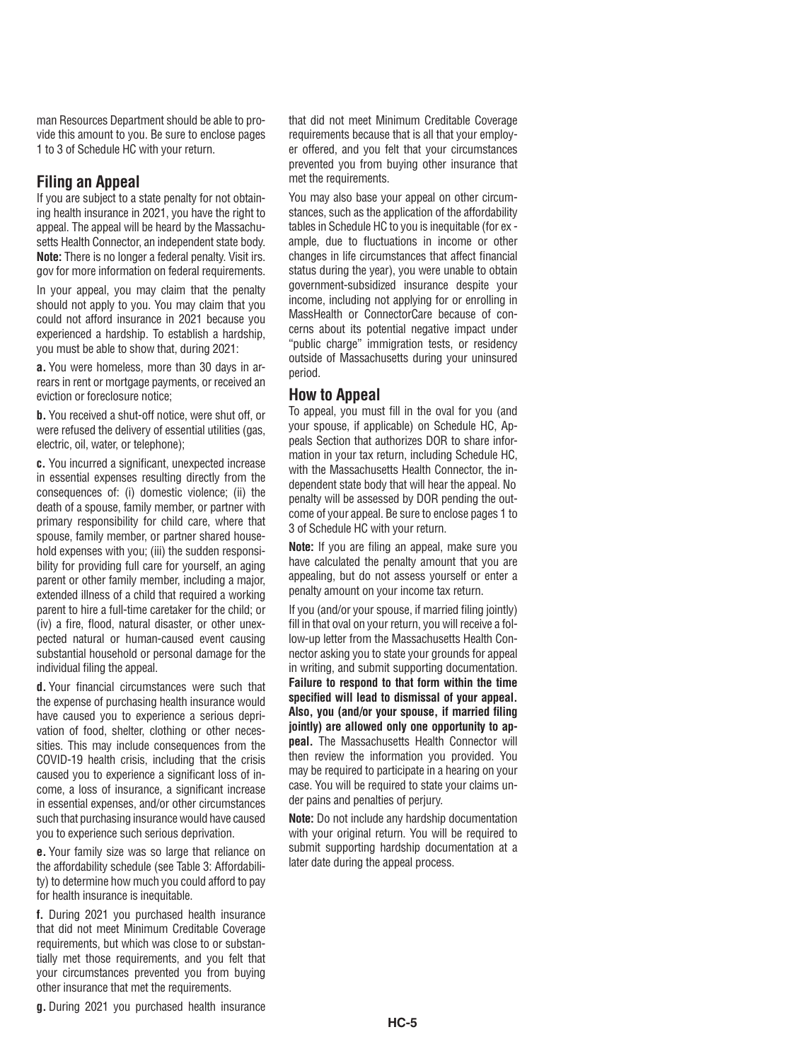man Resources Department should be able to provide this amount to you. Be sure to enclose pages 1 to 3 of Schedule HC with your return.

#### **Filing an Appeal**

If you are subject to a state penalty for not obtaining health insurance in 2021, you have the right to appeal. The appeal will be heard by the Massachusetts Health Connector, an independent state body. **Note:** There is no longer a federal penalty. Visit irs. gov for more information on federal requirements.

In your appeal, you may claim that the penalty should not apply to you. You may claim that you could not afford insurance in 2021 because you experienced a hardship. To establish a hardship, you must be able to show that, during 2021:

**a.** You were homeless, more than 30 days in arrears in rent or mortgage payments, or received an eviction or foreclosure notice;

**b.** You received a shut-off notice, were shut off, or were refused the delivery of essential utilities (gas, electric, oil, water, or telephone);

**c.** You incurred a significant, unexpected increase in essential expenses resulting directly from the consequences of: (i) domestic violence; (ii) the death of a spouse, family member, or partner with primary responsibility for child care, where that spouse, family member, or partner shared household expenses with you; (iii) the sudden responsibility for providing full care for yourself, an aging parent or other family member, including a major, extended illness of a child that required a working parent to hire a full-time caretaker for the child; or (iv) a fire, flood, natural disaster, or other unexpected natural or human-caused event causing substantial household or personal damage for the individual filing the appeal.

**d.** Your financial circumstances were such that the expense of purchasing health insurance would have caused you to experience a serious deprivation of food, shelter, clothing or other necessities. This may include consequences from the COVID-19 health crisis, including that the crisis caused you to experience a significant loss of income, a loss of insurance, a significant increase in essential expenses, and/or other circumstances such that purchasing insurance would have caused you to experience such serious deprivation.

**e.** Your family size was so large that reliance on the affordability schedule (see Table 3: Affordability) to determine how much you could afford to pay for health insurance is inequitable.

**f.** During 2021 you purchased health insurance that did not meet Minimum Creditable Coverage requirements, but which was close to or substantially met those requirements, and you felt that your circumstances prevented you from buying other insurance that met the requirements.

that did not meet Minimum Creditable Coverage requirements because that is all that your employer offered, and you felt that your circumstances prevented you from buying other insurance that met the requirements.

You may also base your appeal on other circumstances, such as the application of the affordability tables in Schedule HC to you is inequitable (for ex ample, due to fluctuations in income or other changes in life circumstances that affect financial status during the year), you were unable to obtain government-subsidized insurance despite your income, including not applying for or enrolling in MassHealth or ConnectorCare because of concerns about its potential negative impact under "public charge" immigration tests, or residency outside of Massachusetts during your uninsured period.

#### **How to Appeal**

To appeal, you must fill in the oval for you (and your spouse, if applicable) on Schedule HC, Appeals Section that authorizes DOR to share information in your tax return, including Schedule HC, with the Massachusetts Health Connector, the independent state body that will hear the appeal. No penalty will be assessed by DOR pending the outcome of your appeal. Be sure to enclose pages 1 to 3 of Schedule HC with your return.

**Note:** If you are filing an appeal, make sure you have calculated the penalty amount that you are appealing, but do not assess yourself or enter a penalty amount on your income tax return.

If you (and/or your spouse, if married filing jointly) fill in that oval on your return, you will receive a follow-up letter from the Massachusetts Health Connector asking you to state your grounds for appeal in writing, and submit supporting documentation. **Failure to respond to that form within the time specified will lead to dismissal of your appeal. Also, you (and/or your spouse, if married filing jointly) are allowed only one opportunity to appeal.** The Massachusetts Health Connector will then review the information you provided. You may be required to participate in a hearing on your case. You will be required to state your claims under pains and penalties of perjury.

**Note:** Do not include any hardship documentation with your original return. You will be required to submit supporting hardship documentation at a later date during the appeal process.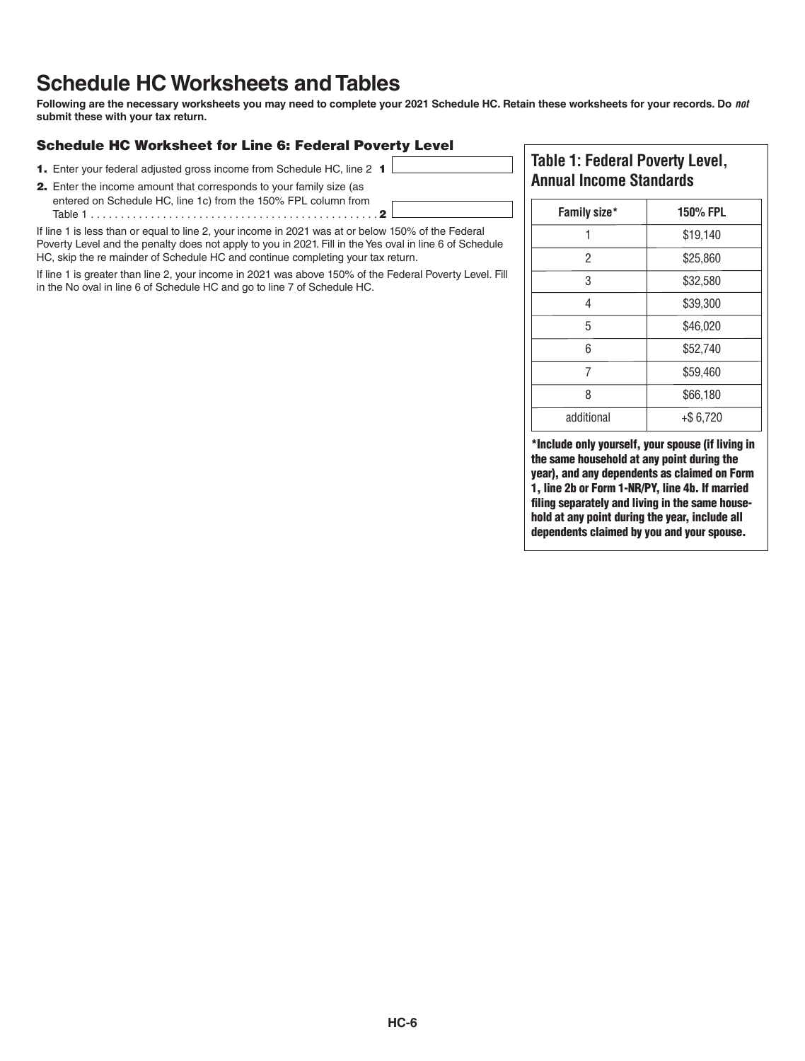## **Schedule HC Worksheets and Tables**

**Following are the necessary worksheets you may need to complete your 2021 Schedule HC. Retain these worksheets for your records. Do** *not* **submit these with your tax return.**

#### Schedule HC Worksheet for Line 6: Federal Poverty Level

- 1. Enter your federal adjusted gross income from Schedule HC, line 2 1
- 2. Enter the income amount that corresponds to your family size (as entered on Schedule HC, line 1c) from the 150% FPL column from Table 1 . . . . . . . . . . . . . . . . . . . . . . . . . . . . . . . . . . . . . . . . . . . . . . . 2

If line 1 is less than or equal to line 2, your income in 2021 was at or below 150% of the Federal Poverty Level and the penalty does not apply to you in 2021. Fill in the Yes oval in line 6 of Schedule HC, skip the re mainder of Schedule HC and continue completing your tax return.

If line 1 is greater than line 2, your income in 2021 was above 150% of the Federal Poverty Level. Fill in the No oval in line 6 of Schedule HC and go to line 7 of Schedule HC.

#### **Table 1: Federal Poverty Level, Annual Income Standards**

| Family size* | <b>150% FPL</b> |
|--------------|-----------------|
|              | \$19,140        |
| 2            | \$25,860        |
| 3            | \$32,580        |
| 4            | \$39,300        |
| 5            | \$46,020        |
| 6            | \$52,740        |
| 7            | \$59,460        |
| 8            | \$66,180        |
| additional   | $+$ \$6,720     |

\*Include only yourself, your spouse (if living in the same household at any point during the year), and any dependents as claimed on Form 1, line 2b or Form 1-NR/PY, line 4b. If married filing separately and living in the same household at any point during the year, include all dependents claimed by you and your spouse.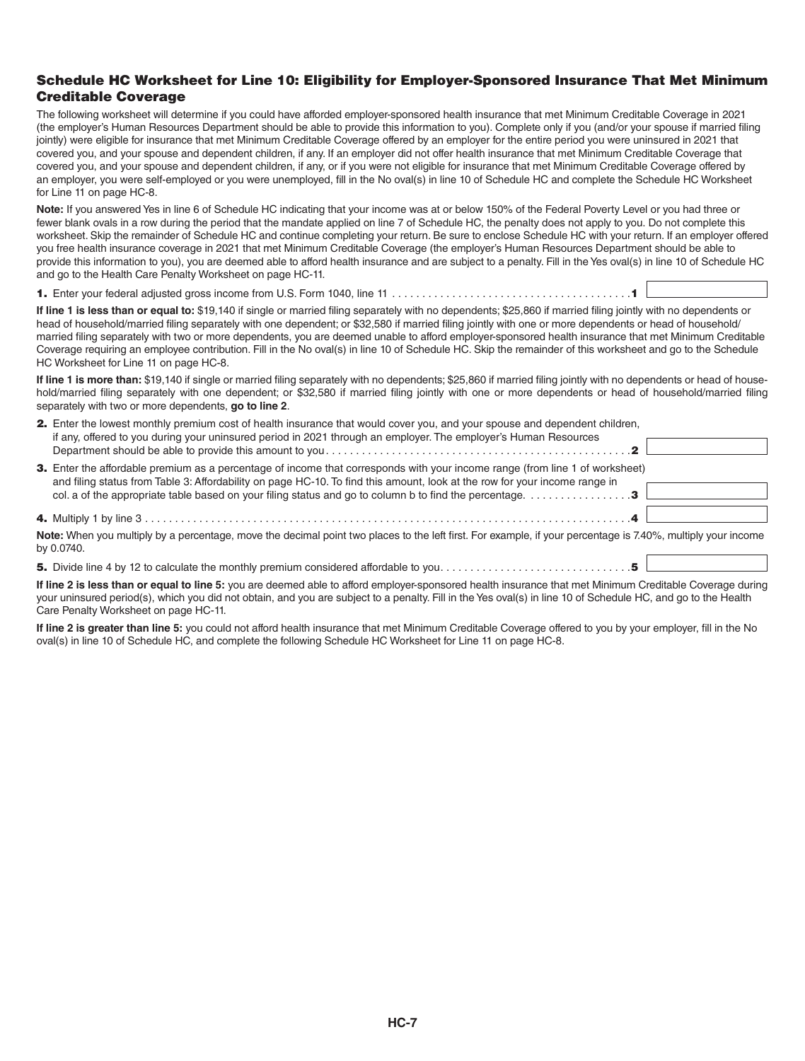#### Schedule HC Worksheet for Line 10: Eligibility for Employer-Sponsored Insurance That Met Minimum Creditable Coverage

The following worksheet will determine if you could have afforded employer-sponsored health insurance that met Minimum Creditable Coverage in 2021 (the employer's Human Resources Department should be able to provide this information to you). Complete only if you (and/or your spouse if married filing jointly) were eligible for insurance that met Minimum Creditable Coverage offered by an employer for the entire period you were uninsured in 2021 that covered you, and your spouse and dependent children, if any. If an employer did not offer health insurance that met Minimum Creditable Coverage that covered you, and your spouse and dependent children, if any, or if you were not eligible for insurance that met Minimum Creditable Coverage offered by an employer, you were self-employed or you were unemployed, fill in the No oval(s) in line 10 of Schedule HC and complete the Schedule HC Worksheet for Line 11 on page HC-8.

**Note:** If you answered Yes in line 6 of Schedule HC indicating that your income was at or below 150% of the Federal Poverty Level or you had three or fewer blank ovals in a row during the period that the mandate applied on line 7 of Schedule HC, the penalty does not apply to you. Do not complete this worksheet. Skip the remainder of Schedule HC and continue completing your return. Be sure to enclose Schedule HC with your return. If an employer offered you free health insurance coverage in 2021 that met Minimum Creditable Coverage (the employer's Human Resources Department should be able to provide this information to you), you are deemed able to afford health insurance and are subject to a penalty. Fill in the Yes oval(s) in line 10 of Schedule HC and go to the Health Care Penalty Worksheet on page HC-11.

1. Enter your federal adjusted gross income from U.S. Form 1040, line 11 . . . . . . . . . . . . . . . . . . . . . . . . . . . . . . . . . . . . . . . 1

**If line 1 is less than or equal to:** \$19,140 if single or married filing separately with no dependents; \$25,860 if married filing jointly with no dependents or head of household/married filing separately with one dependent; or \$32,580 if married filing jointly with one or more dependents or head of household/ married filing separately with two or more dependents, you are deemed unable to afford employer-sponsored health insurance that met Minimum Creditable Coverage requiring an employee contribution. Fill in the No oval(s) in line 10 of Schedule HC. Skip the remainder of this worksheet and go to the Schedule HC Worksheet for Line 11 on page HC-8.

**If line 1 is more than:** \$19,140 if single or married filing separately with no dependents; \$25,860 if married filing jointly with no dependents or head of household/married filing separately with one dependent; or \$32,580 if married filing jointly with one or more dependents or head of household/married filing separately with two or more dependents, **go to line 2**.

| 2. Enter the lowest monthly premium cost of health insurance that would cover you, and your spouse and dependent children,<br>if any, offered to you during your uninsured period in 2021 through an employer. The employer's Human Resources                                                                                                                                                      |  |
|----------------------------------------------------------------------------------------------------------------------------------------------------------------------------------------------------------------------------------------------------------------------------------------------------------------------------------------------------------------------------------------------------|--|
|                                                                                                                                                                                                                                                                                                                                                                                                    |  |
| 3. Enter the affordable premium as a percentage of income that corresponds with your income range (from line 1 of worksheet)<br>and filing status from Table 3: Affordability on page HC-10. To find this amount, look at the row for your income range in<br>col. a of the appropriate table based on your filing status and go to column b to find the percentage. $\ldots \ldots \ldots \ldots$ |  |
|                                                                                                                                                                                                                                                                                                                                                                                                    |  |
| Note: When you multiply by a percentage, move the decimal point two places to the left first. For example, if your percentage is 7.40%, multiply your income<br>by 0.0740.                                                                                                                                                                                                                         |  |
|                                                                                                                                                                                                                                                                                                                                                                                                    |  |
| If line 2 is less than or equal to line 5: you are deemed able to afford employer-sponsored health insurance that met Minimum Creditable Coverage during                                                                                                                                                                                                                                           |  |

your uninsured period(s), which you did not obtain, and you are subject to a penalty. Fill in the Yes oval(s) in line 10 of Schedule HC, and go to the Health Care Penalty Worksheet on page HC-11.

**If line 2 is greater than line 5:** you could not afford health insurance that met Minimum Creditable Coverage offered to you by your employer, fill in the No oval(s) in line 10 of Schedule HC, and complete the following Schedule HC Worksheet for Line 11 on page HC-8.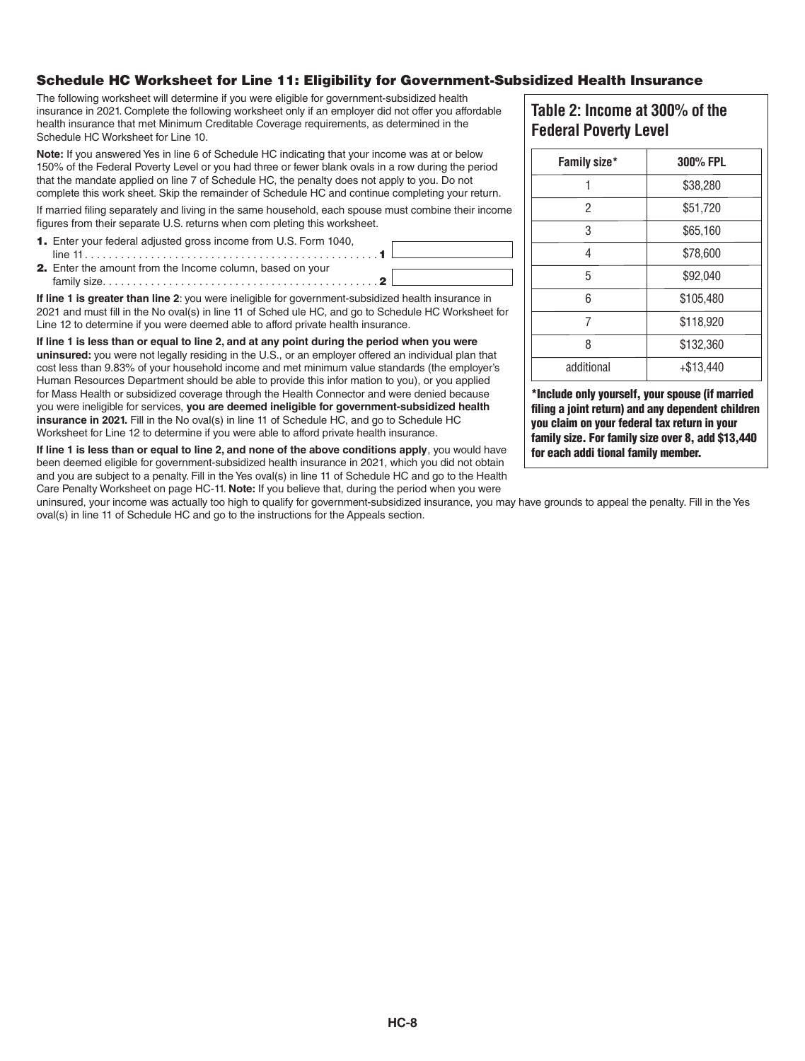#### Schedule HC Worksheet for Line 11: Eligibility for Government-Subsidized Health Insurance

The following worksheet will determine if you were eligible for government-subsidized health insurance in 2021. Complete the following worksheet only if an employer did not offer you affordable health insurance that met Minimum Creditable Coverage requirements, as determined in the Schedule HC Worksheet for Line 10.

**Note:** If you answered Yes in line 6 of Schedule HC indicating that your income was at or below 150% of the Federal Poverty Level or you had three or fewer blank ovals in a row during the period that the mandate applied on line 7 of Schedule HC, the penalty does not apply to you. Do not complete this work sheet. Skip the remainder of Schedule HC and continue completing your return.

If married filing separately and living in the same household, each spouse must combine their income figures from their separate U.S. returns when com pleting this worksheet.



**If line 1 is greater than line 2**: you were ineligible for government-subsidized health insurance in 2021 and must fill in the No oval(s) in line 11 of Sched ule HC, and go to Schedule HC Worksheet for Line 12 to determine if you were deemed able to afford private health insurance.

**If line 1 is less than or equal to line 2, and at any point during the period when you were uninsured:** you were not legally residing in the U.S., or an employer offered an individual plan that cost less than 9.83% of your household income and met minimum value standards (the employer's Human Resources Department should be able to provide this infor mation to you), or you applied for Mass Health or subsidized coverage through the Health Connector and were denied because you were ineligible for services, **you are deemed ineligible for government-subsidized health insurance in 2021.** Fill in the No oval(s) in line 11 of Schedule HC, and go to Schedule HC Worksheet for Line 12 to determine if you were able to afford private health insurance.

**If line 1 is less than or equal to line 2, and none of the above conditions apply**, you would have been deemed eligible for government-subsidized health insurance in 2021, which you did not obtain and you are subject to a penalty. Fill in the Yes oval(s) in line 11 of Schedule HC and go to the Health Care Penalty Worksheet on page HC-11. **Note:** If you believe that, during the period when you were

uninsured, your income was actually too high to qualify for government-subsidized insurance, you may have grounds to appeal the penalty. Fill in the Yes oval(s) in line 11 of Schedule HC and go to the instructions for the Appeals section.

### **Table 2: Income at 300% of the Federal Poverty Level**

| Family size* | 300% FPL    |  |
|--------------|-------------|--|
| 1            | \$38,280    |  |
| 2            | \$51,720    |  |
| 3            | \$65,160    |  |
| 4            | \$78,600    |  |
| 5            | \$92,040    |  |
| 6            | \$105,480   |  |
| 7            | \$118,920   |  |
| 8            | \$132,360   |  |
| additional   | $+ $13,440$ |  |

\*Include only yourself, your spouse (if married filing a joint return) and any dependent children you claim on your federal tax return in your family size. For family size over 8, add \$13,440 for each addi tional family member.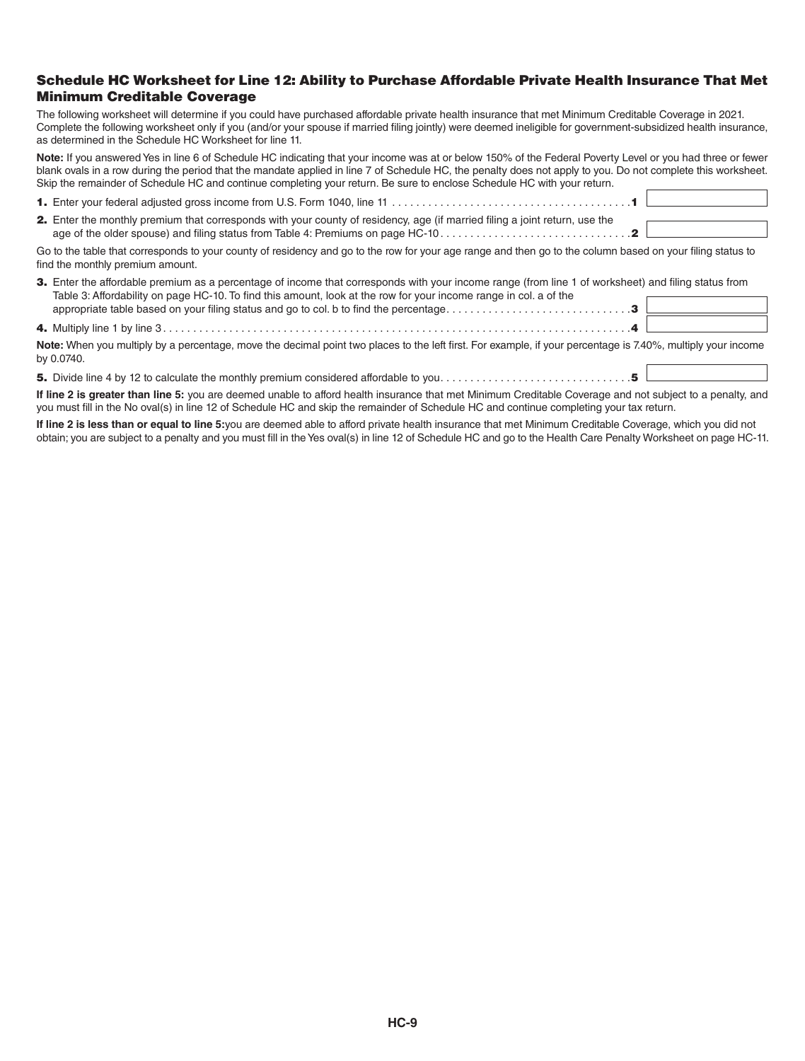#### Schedule HC Worksheet for Line 12: Ability to Purchase Affordable Private Health Insurance That Met Minimum Creditable Coverage

The following worksheet will determine if you could have purchased affordable private health insurance that met Minimum Creditable Coverage in 2021. Complete the following worksheet only if you (and/or your spouse if married filing jointly) were deemed ineligible for government-subsidized health insurance, as determined in the Schedule HC Worksheet for line 11.

**Note:** If you answered Yes in line 6 of Schedule HC indicating that your income was at or below 150% of the Federal Poverty Level or you had three or fewer blank ovals in a row during the period that the mandate applied in line 7 of Schedule HC, the penalty does not apply to you. Do not complete this worksheet. Skip the remainder of Schedule HC and continue completing your return. Be sure to enclose Schedule HC with your return.

| <b>2.</b> Enter the monthly premium that corresponds with your county of residency, age (if married filing a joint return, use the                                                                                             |  |
|--------------------------------------------------------------------------------------------------------------------------------------------------------------------------------------------------------------------------------|--|
|                                                                                                                                                                                                                                |  |
| As it this is the term of a contract of a state of a control of the model of a contract of the search of the search of the search of the search of the search of the search of the search of the search of the search of the s |  |

Go to the table that corresponds to your county of residency and go to the row for your age range and then go to the column based on your filing status to find the monthly premium amount.

| 3. Enter the affordable premium as a percentage of income that corresponds with your income range (from line 1 of worksheet) and filing status from                        |  |
|----------------------------------------------------------------------------------------------------------------------------------------------------------------------------|--|
| Table 3: Affordability on page HC-10. To find this amount, look at the row for your income range in col. a of the                                                          |  |
|                                                                                                                                                                            |  |
| Note: When you multiply by a percentage, move the decimal point two places to the left first. For example, if your percentage is 7.40%, multiply your income<br>by 0.0740. |  |

5. Divide line 4 by 12 to calculate the monthly premium considered affordable to you . . . . . . . . . . . . . . . . . . . . . . . . . . . . . . . 5

**If line 2 is greater than line 5:** you are deemed unable to afford health insurance that met Minimum Creditable Coverage and not subject to a penalty, and you must fill in the No oval(s) in line 12 of Schedule HC and skip the remainder of Schedule HC and continue completing your tax return.

**If line 2 is less than or equal to line 5:**you are deemed able to afford private health insurance that met Minimum Creditable Coverage, which you did not obtain; you are subject to a penalty and you must fill in the Yes oval(s) in line 12 of Schedule HC and go to the Health Care Penalty Worksheet on page HC-11.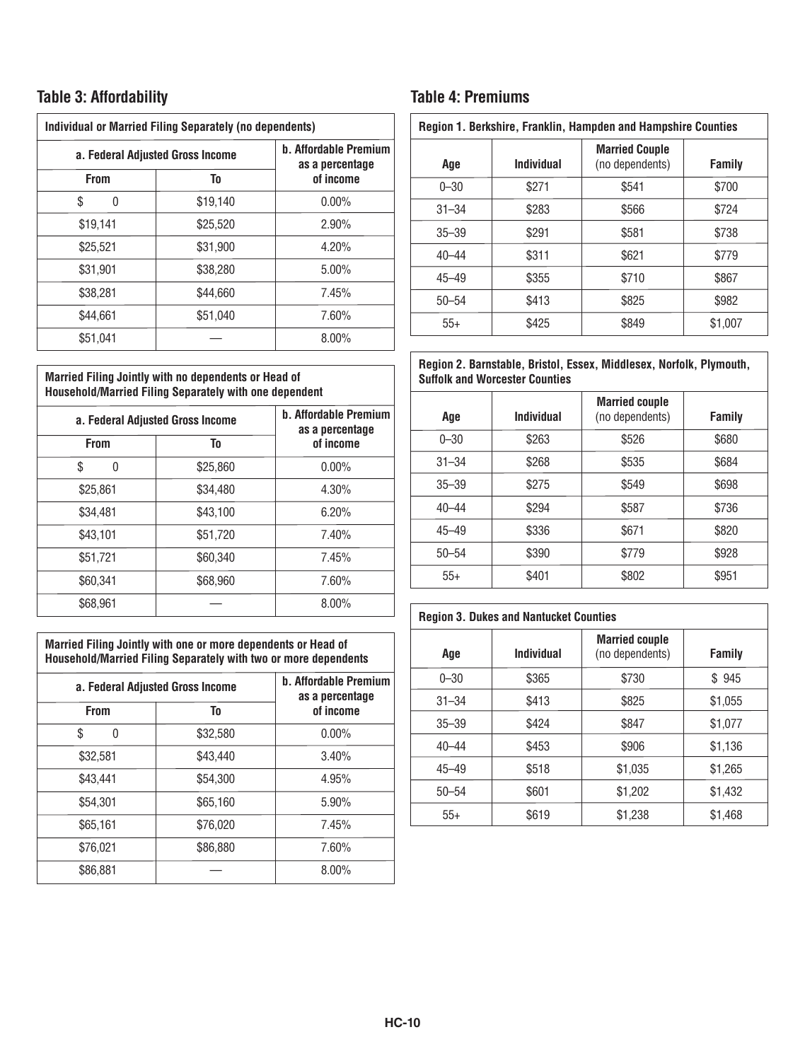## **Table 3: Affordability**

| <b>Individual or Married Filing Separately (no dependents)</b> |          |                                                 |  |
|----------------------------------------------------------------|----------|-------------------------------------------------|--|
| a. Federal Adjusted Gross Income                               |          | <b>b. Affordable Premium</b><br>as a percentage |  |
| <b>From</b>                                                    | To       | of income                                       |  |
| S<br>0                                                         | \$19,140 | $0.00\%$                                        |  |
| \$19,141                                                       | \$25,520 | 2.90%                                           |  |
| \$25,521                                                       | \$31,900 | 4.20%                                           |  |
| \$31,901                                                       | \$38,280 | 5.00%                                           |  |
| \$38.281                                                       | \$44.660 | 7.45%                                           |  |
| \$44.661                                                       | \$51,040 | 7.60%                                           |  |
| \$51,041                                                       |          | $8.00\%$                                        |  |

#### **Married Filing Jointly with no dependents or Head of Household/Married Filing Separately with one dependent**

| a. Federal Adjusted Gross Income |          | <b>b. Affordable Premium</b><br>as a percentage |  |
|----------------------------------|----------|-------------------------------------------------|--|
| <b>From</b>                      | To       |                                                 |  |
| \$<br>0                          | \$25,860 | $0.00\%$                                        |  |
| \$25,861                         | \$34,480 | 4.30%                                           |  |
| \$34,481                         | \$43.100 | 6.20%                                           |  |
| \$43.101                         | \$51,720 | 7.40%                                           |  |
| \$51,721                         | \$60,340 | 7.45%                                           |  |
| \$60.341                         | \$68,960 | 7.60%                                           |  |
| \$68,961                         |          | 8.00%                                           |  |

**Married Filing Jointly with one or more dependents or Head of Household/Married Filing Separately with two or more dependents**

| a. Federal Adjusted Gross Income<br><b>From</b><br>To |          | <b>b. Affordable Premium</b><br>as a percentage<br>of income |  |
|-------------------------------------------------------|----------|--------------------------------------------------------------|--|
|                                                       |          |                                                              |  |
| \$32,581                                              | \$43,440 | 3.40%                                                        |  |
| \$43,441                                              | \$54,300 | 4.95%                                                        |  |
| \$54,301                                              | \$65,160 | 5.90%                                                        |  |
| \$65,161                                              | \$76,020 | 7.45%                                                        |  |
| \$76,021                                              | \$86,880 | 7.60%                                                        |  |
| \$86,881                                              |          | $8.00\%$                                                     |  |

## **Table 4: Premiums**

|  | Region 1. Berkshire, Franklin, Hampden and Hampshire Counties |
|--|---------------------------------------------------------------|

| Age       | <b>Individual</b> | <b>Married Couple</b><br>(no dependents) | <b>Family</b> |
|-----------|-------------------|------------------------------------------|---------------|
| $0 - 30$  | \$271             | \$541                                    | \$700         |
| $31 - 34$ | \$283             | \$566                                    | \$724         |
| $35 - 39$ | \$291             | \$581                                    | \$738         |
| $40 - 44$ | \$311             | \$621                                    | \$779         |
| $45 - 49$ | \$355             | \$710                                    | \$867         |
| $50 - 54$ | \$413             | \$825                                    | \$982         |
| $55+$     | \$425             | \$849                                    | \$1,007       |

#### **Region 2. Barnstable, Bristol, Essex, Middlesex, Norfolk, Plymouth, Suffolk and Worcester Counties**

| Age       | <b>Individual</b> | <b>Married couple</b><br>(no dependents) | Family |
|-----------|-------------------|------------------------------------------|--------|
| $0 - 30$  | \$263             | \$526                                    | \$680  |
| $31 - 34$ | \$268             | \$535                                    | \$684  |
| $35 - 39$ | \$275             | \$549                                    | \$698  |
| $40 - 44$ | \$294             | \$587                                    | \$736  |
| $45 - 49$ | \$336             | \$671                                    | \$820  |
| $50 - 54$ | \$390             | \$779                                    | \$928  |
| $55+$     | \$401             | \$802                                    | \$951  |

#### **Region 3. Dukes and Nantucket Counties**

| Age       | Individual | <b>Married couple</b><br>(no dependents) | <b>Family</b> |
|-----------|------------|------------------------------------------|---------------|
| $0 - 30$  | \$365      | \$730                                    | \$945         |
| $31 - 34$ | \$413      | \$825                                    | \$1,055       |
| $35 - 39$ | \$424      | \$847                                    | \$1,077       |
| $40 - 44$ | \$453      | \$906                                    | \$1,136       |
| $45 - 49$ | \$518      | \$1,035                                  | \$1,265       |
| $50 - 54$ | \$601      | \$1,202                                  | \$1,432       |
| $55+$     | \$619      | \$1,238                                  | \$1,468       |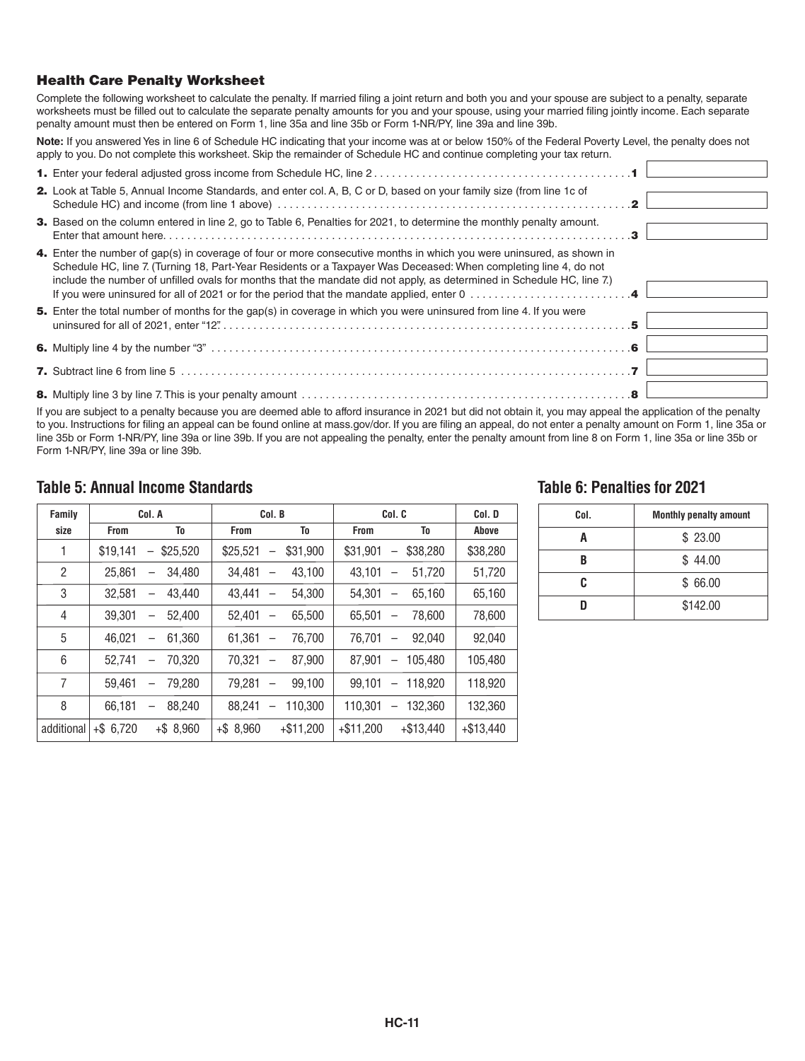#### Health Care Penalty Worksheet

Complete the following worksheet to calculate the penalty. If married filing a joint return and both you and your spouse are subject to a penalty, separate worksheets must be filled out to calculate the separate penalty amounts for you and your spouse, using your married filing jointly income. Each separate penalty amount must then be entered on Form 1, line 35a and line 35b or Form 1-NR/PY, line 39a and line 39b.

**Note:** If you answered Yes in line 6 of Schedule HC indicating that your income was at or below 150% of the Federal Poverty Level, the penalty does not apply to you. Do not complete this worksheet. Skip the remainder of Schedule HC and continue completing your tax return.

| 2. Look at Table 5, Annual Income Standards, and enter col. A, B, C or D, based on your family size (from line 1c of                                                                                                                                                                                                                                                |  |
|---------------------------------------------------------------------------------------------------------------------------------------------------------------------------------------------------------------------------------------------------------------------------------------------------------------------------------------------------------------------|--|
| 3. Based on the column entered in line 2, go to Table 6, Penalties for 2021, to determine the monthly penalty amount.                                                                                                                                                                                                                                               |  |
| 4. Enter the number of gap(s) in coverage of four or more consecutive months in which you were uninsured, as shown in<br>Schedule HC, line 7. (Turning 18, Part-Year Residents or a Taxpayer Was Deceased: When completing line 4, do not<br>include the number of unfilled ovals for months that the mandate did not apply, as determined in Schedule HC, line 7.) |  |
| 5. Enter the total number of months for the gap(s) in coverage in which you were uninsured from line 4. If you were                                                                                                                                                                                                                                                 |  |
|                                                                                                                                                                                                                                                                                                                                                                     |  |
|                                                                                                                                                                                                                                                                                                                                                                     |  |
|                                                                                                                                                                                                                                                                                                                                                                     |  |

If you are subject to a penalty because you are deemed able to afford insurance in 2021 but did not obtain it, you may appeal the application of the penalty to you. Instructions for filing an appeal can be found online at mass.gov/dor. If you are filing an appeal, do not enter a penalty amount on Form 1, line 35a or line 35b or Form 1-NR/PY, line 39a or line 39b. If you are not appealing the penalty, enter the penalty amount from line 8 on Form 1, line 35a or line 35b or Form 1-NR/PY, line 39a or line 39b.

#### **Table 5: Annual Income Standards**

| Family         |              | Col. A                             |              | Col. B                                      | Col. C      | Col. D                                      |             |
|----------------|--------------|------------------------------------|--------------|---------------------------------------------|-------------|---------------------------------------------|-------------|
| size           | <b>From</b>  | To                                 | <b>From</b>  | To                                          | From        | To                                          | Above       |
| 1              | \$19.141     | \$25,520<br>$\qquad \qquad -$      | \$25,521     | \$31.900                                    | \$31,901    | \$38,280<br>$\overline{\phantom{0}}$        | \$38,280    |
| $\overline{2}$ | 25.861       | 34,480<br>$\overline{\phantom{0}}$ | 34.481       | 43.100<br>$\overbrace{\phantom{12322111}}$  | 43.101      | 51.720                                      | 51,720      |
| 3              | 32.581       | 43.440<br>—                        | 43.441       | 54.300                                      | 54.301      | 65.160<br>$\overbrace{\phantom{123221111}}$ | 65,160      |
| 4              | 39.301       | 52.400<br>—                        | 52.401       | 65.500<br>$\overline{\phantom{0}}$          | 65.501      | 78.600<br>$\overline{\phantom{0}}$          | 78,600      |
| 5              | 46.021       | 61.360<br>—                        | 61.361       | 76.700                                      | 76.701      | 92.040                                      | 92.040      |
| 6              | 52.741       | 70.320<br>$\overline{\phantom{0}}$ | 70.321       | 87.900<br>$\overbrace{\phantom{123221111}}$ | 87.901      | 105.480<br>$\overline{\phantom{0}}$         | 105,480     |
| 7              | 59.461       | 79.280<br>$\overline{\phantom{0}}$ | 79.281       | 99.100<br>$\overline{\phantom{0}}$          | 99.101      | 118.920<br>$\overline{\phantom{0}}$         | 118,920     |
| 8              | 66.181       | 88.240<br>—                        | 88.241       | 110.300                                     | 110.301     | 132.360<br>$\overline{\phantom{0}}$         | 132.360     |
| additional     | $+$ \$ 6,720 | $+$ \$ 8,960                       | $+$ \$ 8.960 | $+ $11,200$                                 | $+ $11.200$ | $+\$13.440$                                 | $+\$13.440$ |

#### **Table 6: Penalties for 2021**

| Col. | <b>Monthly penalty amount</b> |  |  |  |  |  |  |  |
|------|-------------------------------|--|--|--|--|--|--|--|
|      | \$23.00                       |  |  |  |  |  |  |  |
| R    | \$44.00                       |  |  |  |  |  |  |  |
| ſ.   | \$66.00                       |  |  |  |  |  |  |  |
|      | \$142.00                      |  |  |  |  |  |  |  |